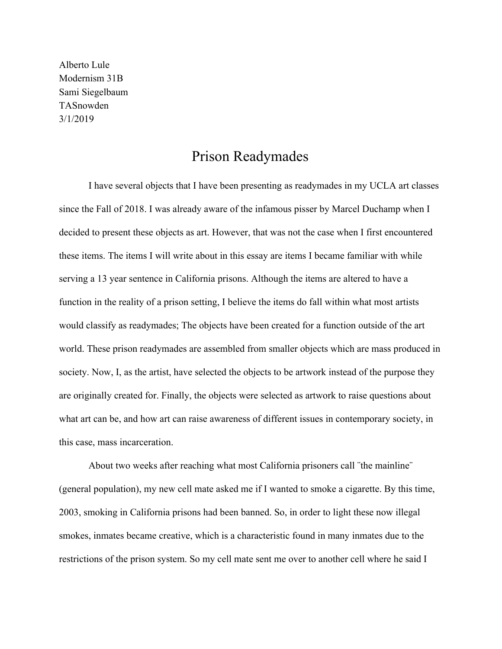Alberto Lule Modernism 31B Sami Siegelbaum TASnowden 3/1/2019

## Prison Readymades

I have several objects that I have been presenting as readymades in my UCLA art classes since the Fall of 2018. I was already aware of the infamous pisser by Marcel Duchamp when I decided to present these objects as art. However, that was not the case when I first encountered these items. The items I will write about in this essay are items I became familiar with while serving a 13 year sentence in California prisons. Although the items are altered to have a function in the reality of a prison setting, I believe the items do fall within what most artists would classify as readymades; The objects have been created for a function outside of the art world. These prison readymades are assembled from smaller objects which are mass produced in society. Now, I, as the artist, have selected the objects to be artwork instead of the purpose they are originally created for. Finally, the objects were selected as artwork to raise questions about what art can be, and how art can raise awareness of different issues in contemporary society, in this case, mass incarceration.

About two weeks after reaching what most California prisoners call ¨the mainline¨ (general population), my new cell mate asked me if I wanted to smoke a cigarette. By this time, 2003, smoking in California prisons had been banned. So, in order to light these now illegal smokes, inmates became creative, which is a characteristic found in many inmates due to the restrictions of the prison system. So my cell mate sent me over to another cell where he said I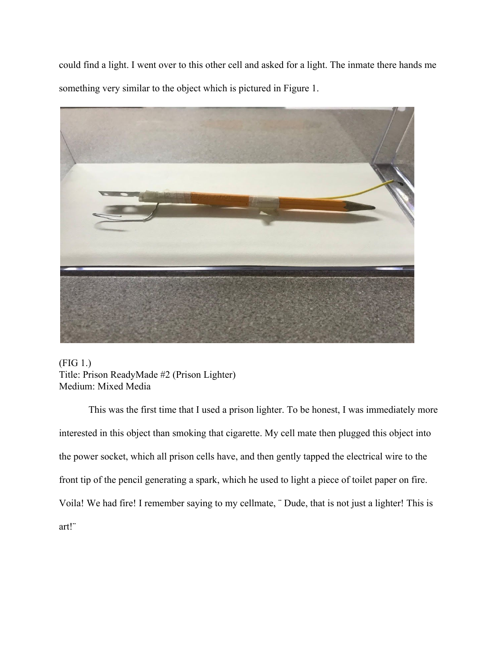could find a light. I went over to this other cell and asked for a light. The inmate there hands me something very similar to the object which is pictured in Figure 1.



(FIG 1.) Title: Prison ReadyMade #2 (Prison Lighter) Medium: Mixed Media

This was the first time that I used a prison lighter. To be honest, I was immediately more interested in this object than smoking that cigarette. My cell mate then plugged this object into the power socket, which all prison cells have, and then gently tapped the electrical wire to the front tip of the pencil generating a spark, which he used to light a piece of toilet paper on fire. Voila! We had fire! I remember saying to my cellmate, ¨ Dude, that is not just a lighter! This is art!¨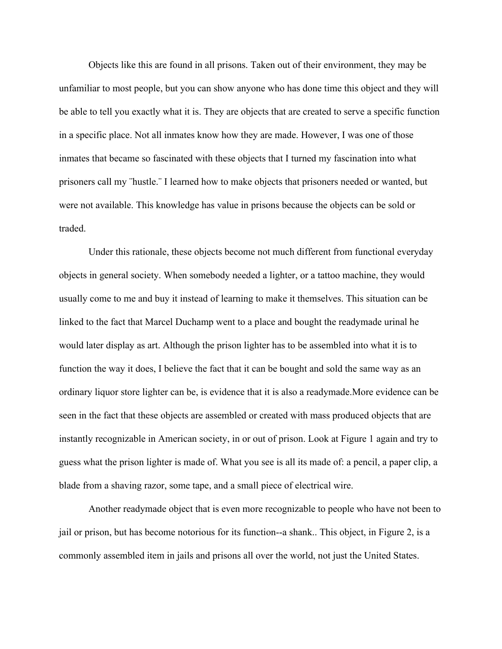Objects like this are found in all prisons. Taken out of their environment, they may be unfamiliar to most people, but you can show anyone who has done time this object and they will be able to tell you exactly what it is. They are objects that are created to serve a specific function in a specific place. Not all inmates know how they are made. However, I was one of those inmates that became so fascinated with these objects that I turned my fascination into what prisoners call my ¨hustle.¨ I learned how to make objects that prisoners needed or wanted, but were not available. This knowledge has value in prisons because the objects can be sold or traded.

Under this rationale, these objects become not much different from functional everyday objects in general society. When somebody needed a lighter, or a tattoo machine, they would usually come to me and buy it instead of learning to make it themselves. This situation can be linked to the fact that Marcel Duchamp went to a place and bought the readymade urinal he would later display as art. Although the prison lighter has to be assembled into what it is to function the way it does, I believe the fact that it can be bought and sold the same way as an ordinary liquor store lighter can be, is evidence that it is also a readymade.More evidence can be seen in the fact that these objects are assembled or created with mass produced objects that are instantly recognizable in American society, in or out of prison. Look at Figure 1 again and try to guess what the prison lighter is made of. What you see is all its made of: a pencil, a paper clip, a blade from a shaving razor, some tape, and a small piece of electrical wire.

Another readymade object that is even more recognizable to people who have not been to jail or prison, but has become notorious for its function--a shank.. This object, in Figure 2, is a commonly assembled item in jails and prisons all over the world, not just the United States.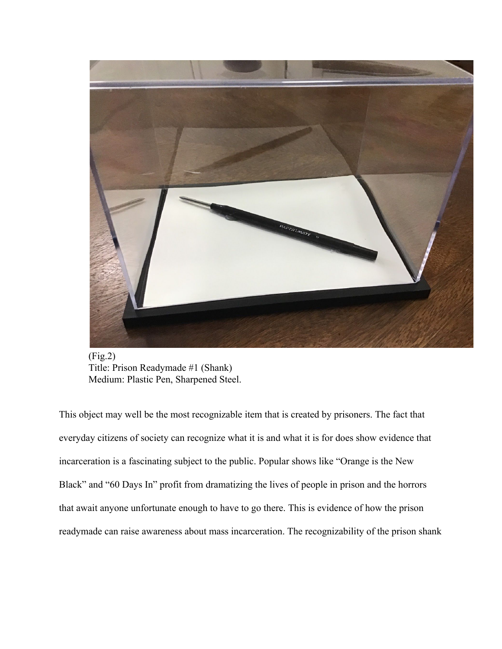

(Fig.2) Title: Prison Readymade #1 (Shank) Medium: Plastic Pen, Sharpened Steel.

This object may well be the most recognizable item that is created by prisoners. The fact that everyday citizens of society can recognize what it is and what it is for does show evidence that incarceration is a fascinating subject to the public. Popular shows like "Orange is the New Black" and "60 Days In" profit from dramatizing the lives of people in prison and the horrors that await anyone unfortunate enough to have to go there. This is evidence of how the prison readymade can raise awareness about mass incarceration. The recognizability of the prison shank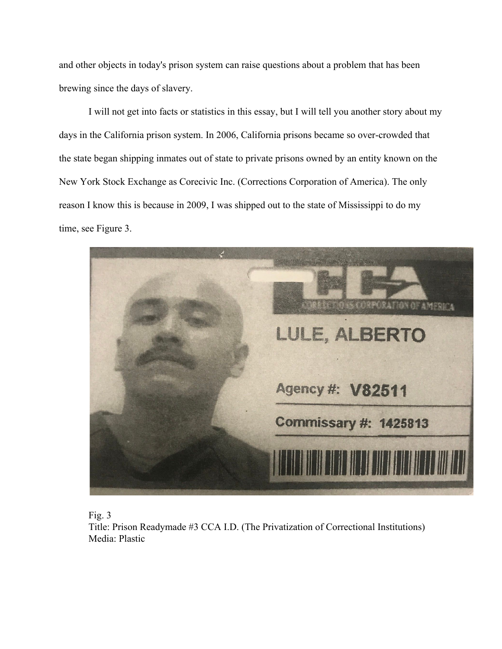and other objects in today's prison system can raise questions about a problem that has been brewing since the days of slavery.

I will not get into facts or statistics in this essay, but I will tell you another story about my days in the California prison system. In 2006, California prisons became so over-crowded that the state began shipping inmates out of state to private prisons owned by an entity known on the New York Stock Exchange as Corecivic Inc. (Corrections Corporation of America). The only reason I know this is because in 2009, I was shipped out to the state of Mississippi to do my time, see Figure 3.





Title: Prison Readymade #3 CCA I.D. (The Privatization of Correctional Institutions) Media: Plastic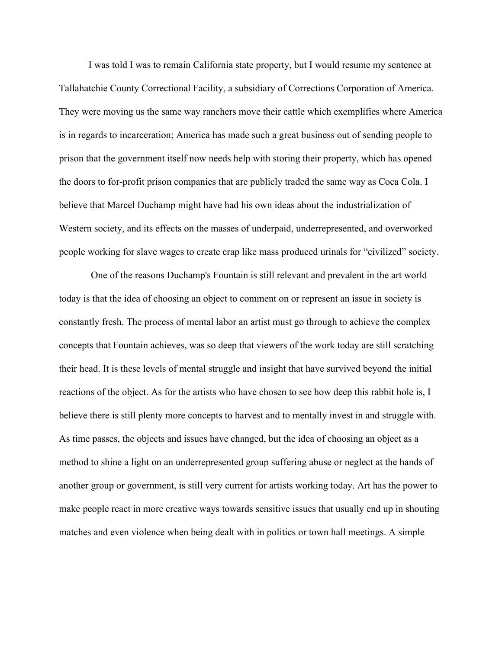I was told I was to remain California state property, but I would resume my sentence at Tallahatchie County Correctional Facility, a subsidiary of Corrections Corporation of America. They were moving us the same way ranchers move their cattle which exemplifies where America is in regards to incarceration; America has made such a great business out of sending people to prison that the government itself now needs help with storing their property, which has opened the doors to for-profit prison companies that are publicly traded the same way as Coca Cola. I believe that Marcel Duchamp might have had his own ideas about the industrialization of Western society, and its effects on the masses of underpaid, underrepresented, and overworked people working for slave wages to create crap like mass produced urinals for "civilized" society.

 One of the reasons Duchamp's Fountain is still relevant and prevalent in the art world today is that the idea of choosing an object to comment on or represent an issue in society is constantly fresh. The process of mental labor an artist must go through to achieve the complex concepts that Fountain achieves, was so deep that viewers of the work today are still scratching their head. It is these levels of mental struggle and insight that have survived beyond the initial reactions of the object. As for the artists who have chosen to see how deep this rabbit hole is, I believe there is still plenty more concepts to harvest and to mentally invest in and struggle with. As time passes, the objects and issues have changed, but the idea of choosing an object as a method to shine a light on an underrepresented group suffering abuse or neglect at the hands of another group or government, is still very current for artists working today. Art has the power to make people react in more creative ways towards sensitive issues that usually end up in shouting matches and even violence when being dealt with in politics or town hall meetings. A simple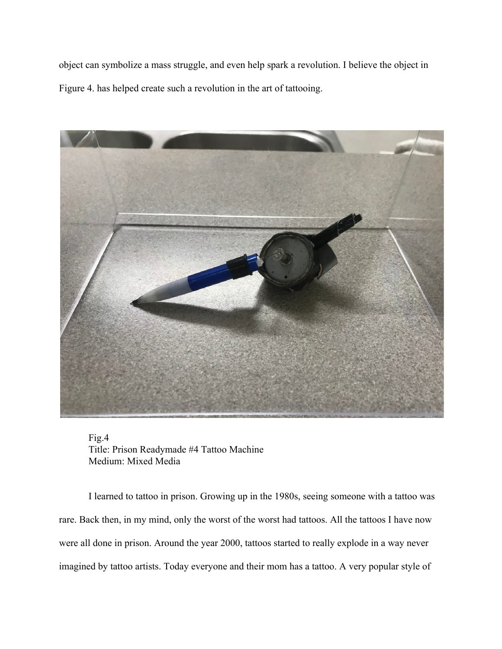object can symbolize a mass struggle, and even help spark a revolution. I believe the object in Figure 4. has helped create such a revolution in the art of tattooing.



Fig.4 Title: Prison Readymade #4 Tattoo Machine Medium: Mixed Media

I learned to tattoo in prison. Growing up in the 1980s, seeing someone with a tattoo was rare. Back then, in my mind, only the worst of the worst had tattoos. All the tattoos I have now were all done in prison. Around the year 2000, tattoos started to really explode in a way never imagined by tattoo artists. Today everyone and their mom has a tattoo. A very popular style of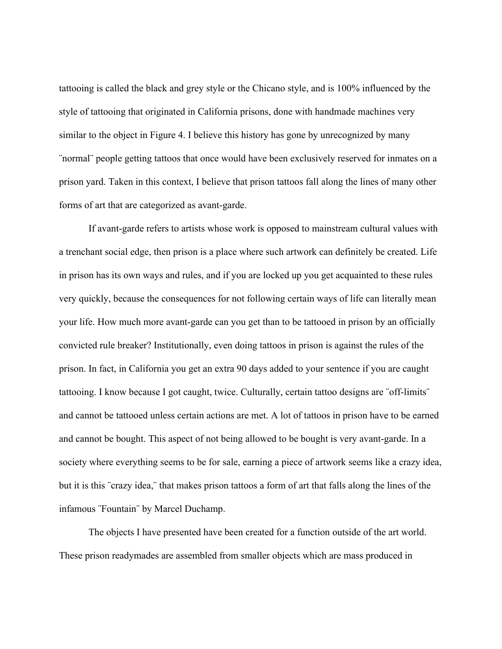tattooing is called the black and grey style or the Chicano style, and is 100% influenced by the style of tattooing that originated in California prisons, done with handmade machines very similar to the object in Figure 4. I believe this history has gone by unrecognized by many ¨normal¨ people getting tattoos that once would have been exclusively reserved for inmates on a prison yard. Taken in this context, I believe that prison tattoos fall along the lines of many other forms of art that are categorized as avant-garde.

If avant-garde refers to artists whose work is opposed to mainstream cultural values with a trenchant social edge, then prison is a place where such artwork can definitely be created. Life in prison has its own ways and rules, and if you are locked up you get acquainted to these rules very quickly, because the consequences for not following certain ways of life can literally mean your life. How much more avant-garde can you get than to be tattooed in prison by an officially convicted rule breaker? Institutionally, even doing tattoos in prison is against the rules of the prison. In fact, in California you get an extra 90 days added to your sentence if you are caught tattooing. I know because I got caught, twice. Culturally, certain tattoo designs are ¨off-limits¨ and cannot be tattooed unless certain actions are met. A lot of tattoos in prison have to be earned and cannot be bought. This aspect of not being allowed to be bought is very avant-garde. In a society where everything seems to be for sale, earning a piece of artwork seems like a crazy idea, but it is this ¨crazy idea,¨ that makes prison tattoos a form of art that falls along the lines of the infamous ¨Fountain¨ by Marcel Duchamp.

The objects I have presented have been created for a function outside of the art world. These prison readymades are assembled from smaller objects which are mass produced in